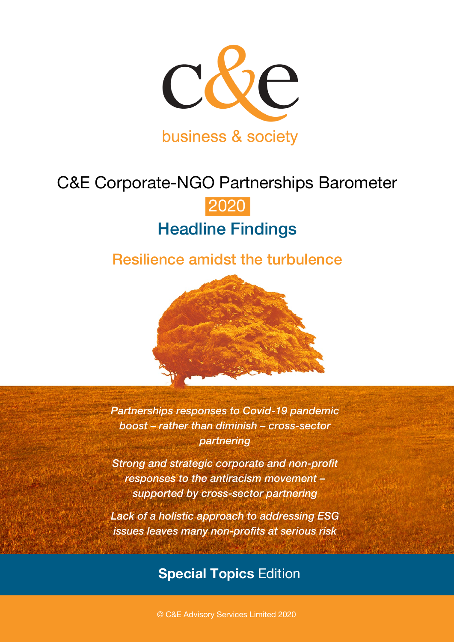

# C&E Corporate-NGO Partnerships Barometer

# 2020 Headline Findings

## Resilience amidst the turbulence



*Partnerships responses to Covid-19 pandemic boost – rather than diminish – cross-sector partnering* 

*Strong and strategic corporate and non-profit responses to the antiracism movement – supported by cross-sector partnering*

*Lack of a holistic approach to addressing ESG issues leaves many non-profits at serious risk*

### **Special Topics** Edition

© C&E Advisory Services Limited 2020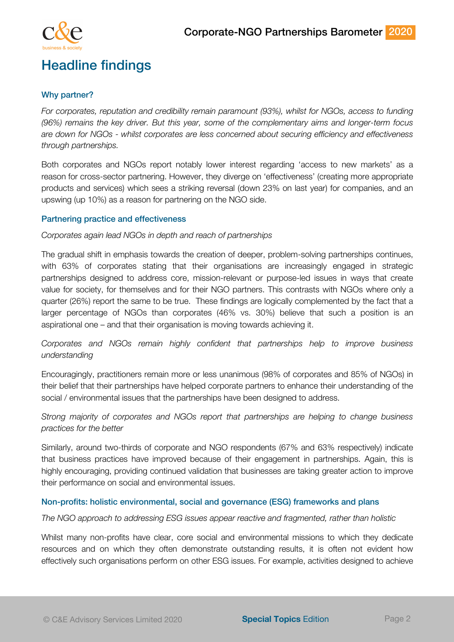



### Headline findings

#### Why partner?

*For corporates, reputation and credibility remain paramount (93%), whilst for NGOs, access to funding (96%) remains the key driver. But this year, some of the complementary aims and longer-term focus are down for NGOs - whilst corporates are less concerned about securing efficiency and effectiveness through partnerships.* 

Both corporates and NGOs report notably lower interest regarding 'access to new markets' as a reason for cross-sector partnering. However, they diverge on 'effectiveness' (creating more appropriate products and services) which sees a striking reversal (down 23% on last year) for companies, and an upswing (up 10%) as a reason for partnering on the NGO side.

#### Partnering practice and effectiveness

#### *Corporates again lead NGOs in depth and reach of partnerships*

The gradual shift in emphasis towards the creation of deeper, problem-solving partnerships continues, with 63% of corporates stating that their organisations are increasingly engaged in strategic partnerships designed to address core, mission-relevant or purpose-led issues in ways that create value for society, for themselves and for their NGO partners. This contrasts with NGOs where only a quarter (26%) report the same to be true. These findings are logically complemented by the fact that a larger percentage of NGOs than corporates (46% vs. 30%) believe that such a position is an aspirational one – and that their organisation is moving towards achieving it.

*Corporates and NGOs remain highly confident that partnerships help to improve business understanding*

Encouragingly, practitioners remain more or less unanimous (98% of corporates and 85% of NGOs) in their belief that their partnerships have helped corporate partners to enhance their understanding of the social / environmental issues that the partnerships have been designed to address.

*Strong majority of corporates and NGOs report that partnerships are helping to change business practices for the better*

Similarly, around two-thirds of corporate and NGO respondents (67% and 63% respectively) indicate that business practices have improved because of their engagement in partnerships. Again, this is highly encouraging, providing continued validation that businesses are taking greater action to improve their performance on social and environmental issues.

#### Non-profits: holistic environmental, social and governance (ESG) frameworks and plans

#### *The NGO approach to addressing ESG issues appear reactive and fragmented, rather than holistic*

Whilst many non-profits have clear, core social and environmental missions to which they dedicate resources and on which they often demonstrate outstanding results, it is often not evident how effectively such organisations perform on other ESG issues. For example, activities designed to achieve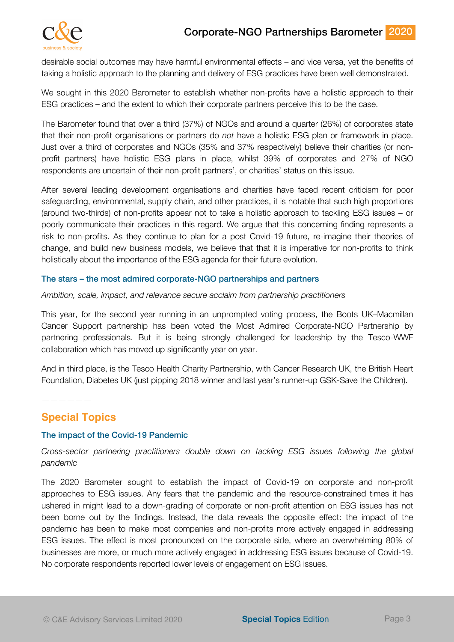### Corporate-NGO Partnerships Barometer 2020



desirable social outcomes may have harmful environmental effects – and vice versa, yet the benefits of taking a holistic approach to the planning and delivery of ESG practices have been well demonstrated.

We sought in this 2020 Barometer to establish whether non-profits have a holistic approach to their ESG practices – and the extent to which their corporate partners perceive this to be the case.

The Barometer found that over a third (37%) of NGOs and around a quarter (26%) of corporates state that their non-profit organisations or partners do *not* have a holistic ESG plan or framework in place. Just over a third of corporates and NGOs (35% and 37% respectively) believe their charities (or nonprofit partners) have holistic ESG plans in place, whilst 39% of corporates and 27% of NGO respondents are uncertain of their non-profit partners', or charities' status on this issue.

After several leading development organisations and charities have faced recent criticism for poor safeguarding, environmental, supply chain, and other practices, it is notable that such high proportions (around two-thirds) of non-profits appear not to take a holistic approach to tackling ESG issues – or poorly communicate their practices in this regard. We argue that this concerning finding represents a risk to non-profits. As they continue to plan for a post Covid-19 future, re-imagine their theories of change, and build new business models, we believe that that it is imperative for non-profits to think holistically about the importance of the ESG agenda for their future evolution.

#### The stars – the most admired corporate-NGO partnerships and partners

#### *Ambition, scale, impact, and relevance secure acclaim from partnership practitioners*

This year, for the second year running in an unprompted voting process, the Boots UK–Macmillan Cancer Support partnership has been voted the Most Admired Corporate-NGO Partnership by partnering professionals. But it is being strongly challenged for leadership by the Tesco-WWF collaboration which has moved up significantly year on year.

And in third place, is the Tesco Health Charity Partnership, with Cancer Research UK, the British Heart Foundation, Diabetes UK (just pipping 2018 winner and last year's runner-up GSK-Save the Children).

——————

#### **Special Topics**

#### The impact of the Covid-19 Pandemic

*Cross-sector partnering practitioners double down on tackling ESG issues following the global pandemic*

The 2020 Barometer sought to establish the impact of Covid-19 on corporate and non-profit approaches to ESG issues. Any fears that the pandemic and the resource-constrained times it has ushered in might lead to a down-grading of corporate or non-profit attention on ESG issues has not been borne out by the findings. Instead, the data reveals the opposite effect: the impact of the pandemic has been to make most companies and non-profits more actively engaged in addressing ESG issues. The effect is most pronounced on the corporate side, where an overwhelming 80% of businesses are more, or much more actively engaged in addressing ESG issues because of Covid-19. No corporate respondents reported lower levels of engagement on ESG issues.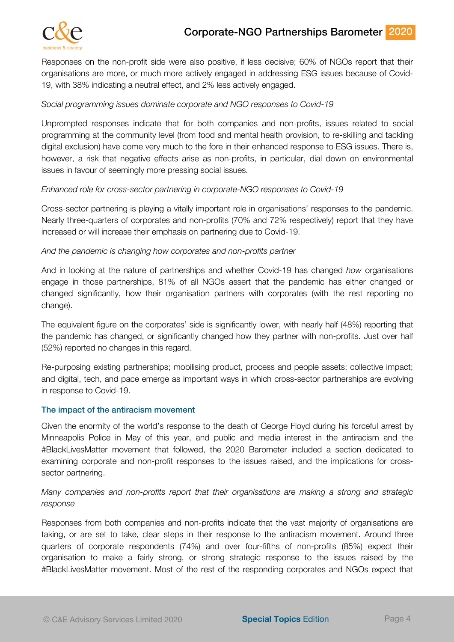



Responses on the non-profit side were also positive, if less decisive; 60% of NGOs report that their organisations are more, or much more actively engaged in addressing ESG issues because of Covid-19, with 38% indicating a neutral effect, and 2% less actively engaged.

#### *Social programming issues dominate corporate and NGO responses to Covid-19*

Unprompted responses indicate that for both companies and non-profits, issues related to social programming at the community level (from food and mental health provision, to re-skilling and tackling digital exclusion) have come very much to the fore in their enhanced response to ESG issues. There is, however, a risk that negative effects arise as non-profits, in particular, dial down on environmental issues in favour of seemingly more pressing social issues.

#### *Enhanced role for cross-sector partnering in corporate-NGO responses to Covid-19*

Cross-sector partnering is playing a vitally important role in organisations' responses to the pandemic. Nearly three-quarters of corporates and non-profits (70% and 72% respectively) report that they have increased or will increase their emphasis on partnering due to Covid-19.

#### *And the pandemic is changing how corporates and non-profits partner*

And in looking at the nature of partnerships and whether Covid-19 has changed *how* organisations engage in those partnerships, 81% of all NGOs assert that the pandemic has either changed or changed significantly, how their organisation partners with corporates (with the rest reporting no change).

The equivalent figure on the corporates' side is significantly lower, with nearly half (48%) reporting that the pandemic has changed, or significantly changed how they partner with non-profits. Just over half (52%) reported no changes in this regard.

Re-purposing existing partnerships; mobilising product, process and people assets; collective impact; and digital, tech, and pace emerge as important ways in which cross-sector partnerships are evolving in response to Covid-19.

#### The impact of the antiracism movement

Given the enormity of the world's response to the death of George Floyd during his forceful arrest by Minneapolis Police in May of this year, and public and media interest in the antiracism and the #BlackLivesMatter movement that followed, the 2020 Barometer included a section dedicated to examining corporate and non-profit responses to the issues raised, and the implications for crosssector partnering.

#### *Many companies and non-profits report that their organisations are making a strong and strategic response*

Responses from both companies and non-profits indicate that the vast majority of organisations are taking, or are set to take, clear steps in their response to the antiracism movement. Around three quarters of corporate respondents (74%) and over four-fifths of non-profits (85%) expect their organisation to make a fairly strong, or strong strategic response to the issues raised by the #BlackLivesMatter movement. Most of the rest of the responding corporates and NGOs expect that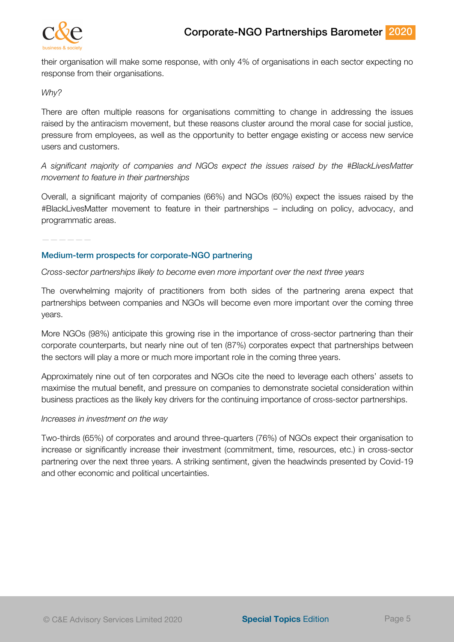

their organisation will make some response, with only 4% of organisations in each sector expecting no response from their organisations.

#### *Why?*

There are often multiple reasons for organisations committing to change in addressing the issues raised by the antiracism movement, but these reasons cluster around the moral case for social justice, pressure from employees, as well as the opportunity to better engage existing or access new service users and customers.

*A significant majority of companies and NGOs expect the issues raised by the #BlackLivesMatter movement to feature in their partnerships*

Overall, a significant majority of companies (66%) and NGOs (60%) expect the issues raised by the #BlackLivesMatter movement to feature in their partnerships – including on policy, advocacy, and programmatic areas.

——————

#### Medium-term prospects for corporate-NGO partnering

#### *Cross-sector partnerships likely to become even more important over the next three years*

The overwhelming majority of practitioners from both sides of the partnering arena expect that partnerships between companies and NGOs will become even more important over the coming three years.

More NGOs (98%) anticipate this growing rise in the importance of cross-sector partnering than their corporate counterparts, but nearly nine out of ten (87%) corporates expect that partnerships between the sectors will play a more or much more important role in the coming three years.

Approximately nine out of ten corporates and NGOs cite the need to leverage each others' assets to maximise the mutual benefit, and pressure on companies to demonstrate societal consideration within business practices as the likely key drivers for the continuing importance of cross-sector partnerships.

#### *Increases in investment on the way*

Two-thirds (65%) of corporates and around three-quarters (76%) of NGOs expect their organisation to increase or significantly increase their investment (commitment, time, resources, etc.) in cross-sector partnering over the next three years. A striking sentiment, given the headwinds presented by Covid-19 and other economic and political uncertainties.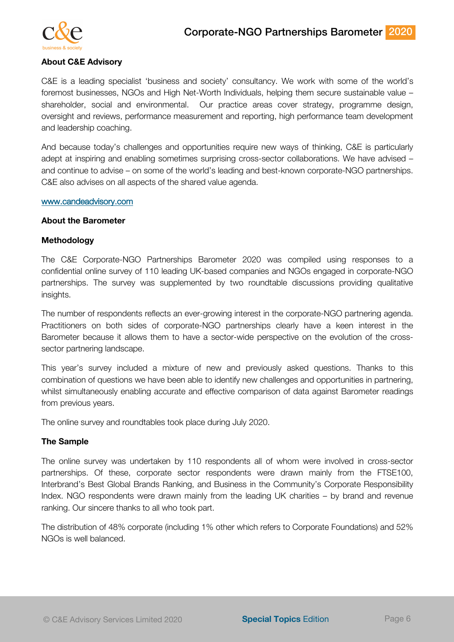

#### **About C&E Advisory**

C&E is a leading specialist 'business and society' consultancy. We work with some of the world's foremost businesses, NGOs and High Net-Worth Individuals, helping them secure sustainable value – shareholder, social and environmental. Our practice areas cover strategy, programme design, oversight and reviews, performance measurement and reporting, high performance team development and leadership coaching.

And because today's challenges and opportunities require new ways of thinking, C&E is particularly adept at inspiring and enabling sometimes surprising cross-sector collaborations. We have advised – and continue to advise – on some of the world's leading and best-known corporate-NGO partnerships. C&E also advises on all aspects of the shared value agenda.

#### www.candeadvisory.com

#### **About the Barometer**

#### **Methodology**

The C&E Corporate-NGO Partnerships Barometer 2020 was compiled using responses to a confidential online survey of 110 leading UK-based companies and NGOs engaged in corporate-NGO partnerships. The survey was supplemented by two roundtable discussions providing qualitative insights.

The number of respondents reflects an ever-growing interest in the corporate-NGO partnering agenda. Practitioners on both sides of corporate-NGO partnerships clearly have a keen interest in the Barometer because it allows them to have a sector-wide perspective on the evolution of the crosssector partnering landscape.

This year's survey included a mixture of new and previously asked questions. Thanks to this combination of questions we have been able to identify new challenges and opportunities in partnering, whilst simultaneously enabling accurate and effective comparison of data against Barometer readings from previous years.

The online survey and roundtables took place during July 2020.

#### **The Sample**

The online survey was undertaken by 110 respondents all of whom were involved in cross-sector partnerships. Of these, corporate sector respondents were drawn mainly from the FTSE100, Interbrand's Best Global Brands Ranking, and Business in the Community's Corporate Responsibility Index. NGO respondents were drawn mainly from the leading UK charities – by brand and revenue ranking. Our sincere thanks to all who took part.

The distribution of 48% corporate (including 1% other which refers to Corporate Foundations) and 52% NGOs is well balanced.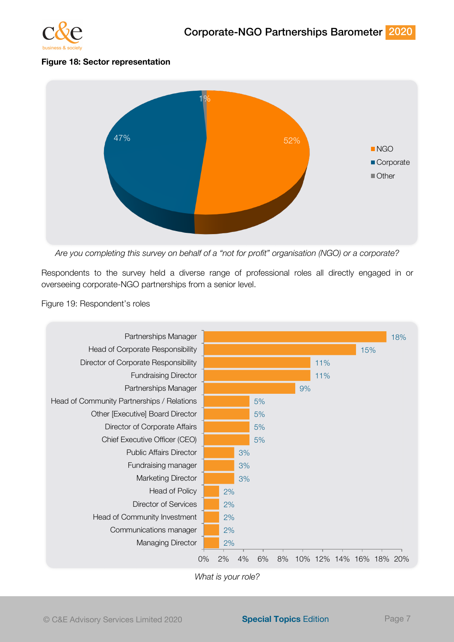

#### **Figure 18: Sector representation**



*Are you completing this survey on behalf of a "not for profit" organisation (NGO) or a corporate?*

Respondents to the survey held a diverse range of professional roles all directly engaged in or overseeing corporate-NGO partnerships from a senior level.

#### Figure 19: Respondent's roles